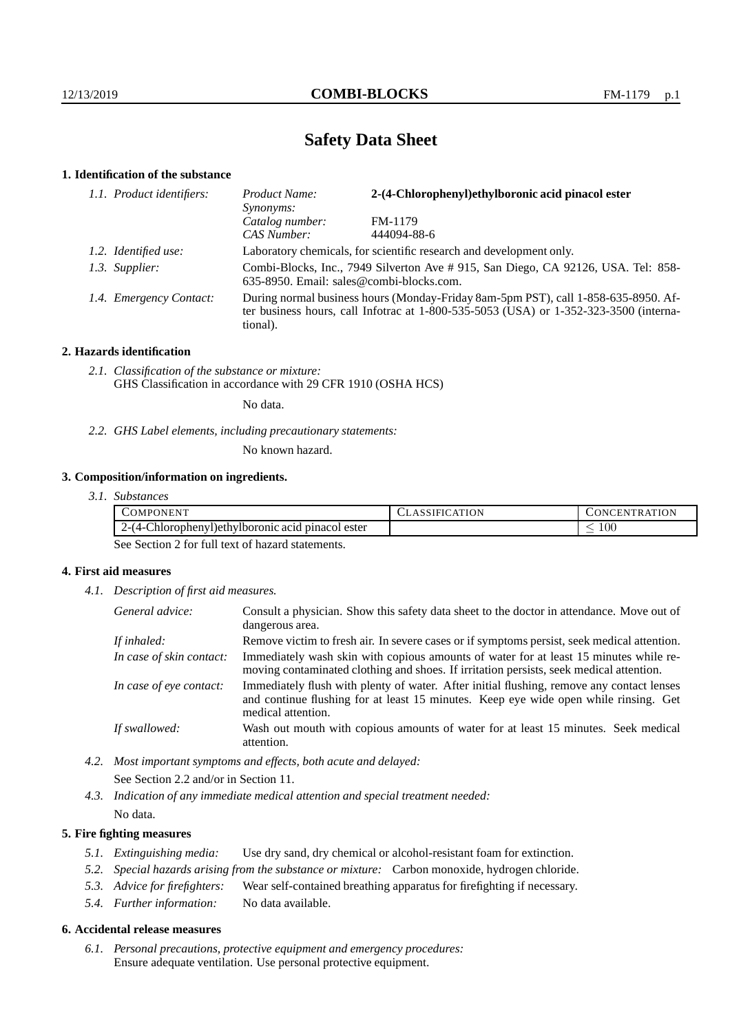# **Safety Data Sheet**

# **1. Identification of the substance**

| 1.1. Product identifiers: | 2-(4-Chlorophenyl)ethylboronic acid pinacol ester<br>Product Name:<br>Synonyms:                                                                                                             |             |
|---------------------------|---------------------------------------------------------------------------------------------------------------------------------------------------------------------------------------------|-------------|
|                           | Catalog number:                                                                                                                                                                             | FM-1179     |
|                           | CAS Number:                                                                                                                                                                                 | 444094-88-6 |
| 1.2. Identified use:      | Laboratory chemicals, for scientific research and development only.                                                                                                                         |             |
| 1.3. Supplier:            | Combi-Blocks, Inc., 7949 Silverton Ave # 915, San Diego, CA 92126, USA. Tel: 858-<br>635-8950. Email: sales@combi-blocks.com.                                                               |             |
| 1.4. Emergency Contact:   | During normal business hours (Monday-Friday 8am-5pm PST), call 1-858-635-8950. Af-<br>ter business hours, call Infotrac at $1-800-535-5053$ (USA) or $1-352-323-3500$ (interna-<br>tional). |             |

# **2. Hazards identification**

*2.1. Classification of the substance or mixture:* GHS Classification in accordance with 29 CFR 1910 (OSHA HCS)

No data.

*2.2. GHS Label elements, including precautionary statements:*

No known hazard.

# **3. Composition/information on ingredients.**

| 3.1. Substances |  |
|-----------------|--|
|                 |  |

| <b>ATT</b><br>COMPC<br>'ONEN'                            | <b>\TION</b><br>'NIFIL<br>д., | <b>\TION</b><br>'TRAT.<br>.EN<br>$\overline{N}$ |
|----------------------------------------------------------|-------------------------------|-------------------------------------------------|
| -Chlorophenyl) ethylboromic acid pinacol ester<br>1-14-l |                               | $100\,$<br>$\overline{\phantom{a}}$             |

See Section 2 for full text of hazard statements.

# **4. First aid measures**

*4.1. Description of first aid measures.*

| General advice:          | Consult a physician. Show this safety data sheet to the doctor in attendance. Move out of<br>dangerous area.                                                                                            |
|--------------------------|---------------------------------------------------------------------------------------------------------------------------------------------------------------------------------------------------------|
| If inhaled:              | Remove victim to fresh air. In severe cases or if symptoms persist, seek medical attention.                                                                                                             |
| In case of skin contact: | Immediately wash skin with copious amounts of water for at least 15 minutes while re-<br>moving contaminated clothing and shoes. If irritation persists, seek medical attention.                        |
| In case of eye contact:  | Immediately flush with plenty of water. After initial flushing, remove any contact lenses<br>and continue flushing for at least 15 minutes. Keep eye wide open while rinsing. Get<br>medical attention. |
| If swallowed:            | Wash out mouth with copious amounts of water for at least 15 minutes. Seek medical<br>attention.                                                                                                        |

*4.2. Most important symptoms and effects, both acute and delayed:* See Section 2.2 and/or in Section 11.

*4.3. Indication of any immediate medical attention and special treatment needed:* No data.

# **5. Fire fighting measures**

- *5.1. Extinguishing media:* Use dry sand, dry chemical or alcohol-resistant foam for extinction.
- *5.2. Special hazards arising from the substance or mixture:* Carbon monoxide, hydrogen chloride.
- *5.3. Advice for firefighters:* Wear self-contained breathing apparatus for firefighting if necessary.
- *5.4. Further information:* No data available.

# **6. Accidental release measures**

*6.1. Personal precautions, protective equipment and emergency procedures:* Ensure adequate ventilation. Use personal protective equipment.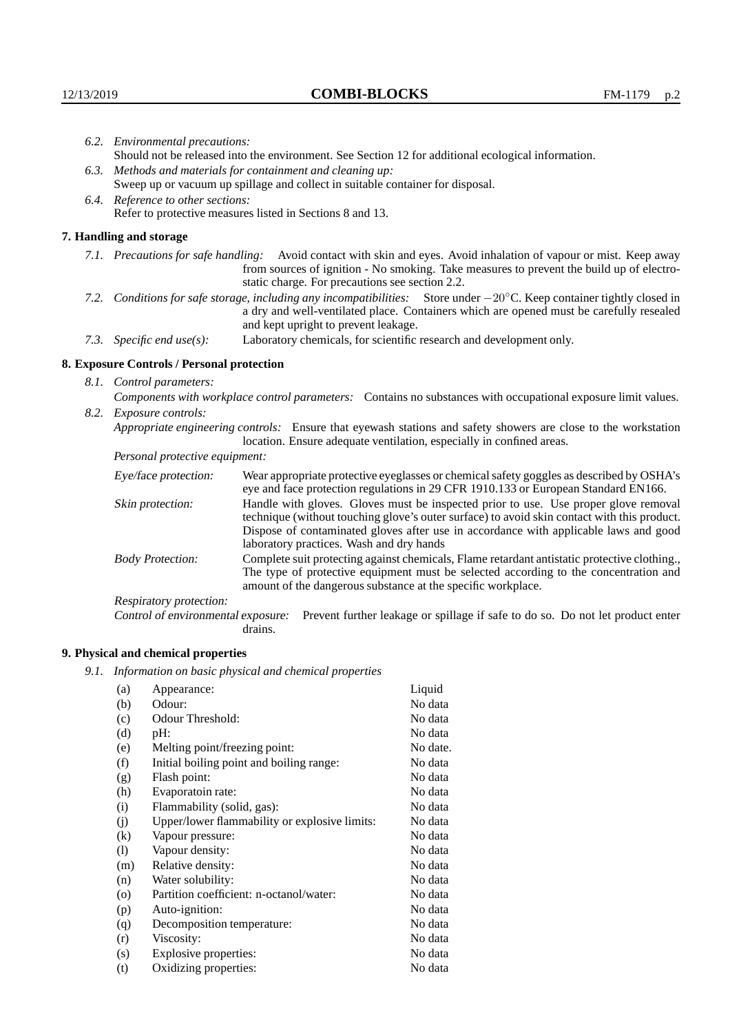|  | 6.2. Environmental precautions:                                                                                                                                                                                                                                     |                                                                                                                                                                                                                                                                            |  |  |  |
|--|---------------------------------------------------------------------------------------------------------------------------------------------------------------------------------------------------------------------------------------------------------------------|----------------------------------------------------------------------------------------------------------------------------------------------------------------------------------------------------------------------------------------------------------------------------|--|--|--|
|  | Should not be released into the environment. See Section 12 for additional ecological information.                                                                                                                                                                  |                                                                                                                                                                                                                                                                            |  |  |  |
|  |                                                                                                                                                                                                                                                                     | 6.3. Methods and materials for containment and cleaning up:                                                                                                                                                                                                                |  |  |  |
|  | Sweep up or vacuum up spillage and collect in suitable container for disposal.                                                                                                                                                                                      |                                                                                                                                                                                                                                                                            |  |  |  |
|  | 6.4. Reference to other sections:                                                                                                                                                                                                                                   |                                                                                                                                                                                                                                                                            |  |  |  |
|  |                                                                                                                                                                                                                                                                     | Refer to protective measures listed in Sections 8 and 13.                                                                                                                                                                                                                  |  |  |  |
|  | 7. Handling and storage                                                                                                                                                                                                                                             |                                                                                                                                                                                                                                                                            |  |  |  |
|  |                                                                                                                                                                                                                                                                     | 7.1. Precautions for safe handling: Avoid contact with skin and eyes. Avoid inhalation of vapour or mist. Keep away<br>from sources of ignition - No smoking. Take measures to prevent the build up of electro-<br>static charge. For precautions see section 2.2.         |  |  |  |
|  | 7.2. Conditions for safe storage, including any incompatibilities: Store under $-20^{\circ}$ C. Keep container tightly closed in<br>a dry and well-ventilated place. Containers which are opened must be carefully resealed<br>and kept upright to prevent leakage. |                                                                                                                                                                                                                                                                            |  |  |  |
|  | Laboratory chemicals, for scientific research and development only.<br>7.3. Specific end use(s):                                                                                                                                                                    |                                                                                                                                                                                                                                                                            |  |  |  |
|  | 8. Exposure Controls / Personal protection                                                                                                                                                                                                                          |                                                                                                                                                                                                                                                                            |  |  |  |
|  | 8.1. Control parameters:                                                                                                                                                                                                                                            |                                                                                                                                                                                                                                                                            |  |  |  |
|  |                                                                                                                                                                                                                                                                     | Components with workplace control parameters: Contains no substances with occupational exposure limit values.                                                                                                                                                              |  |  |  |
|  | 8.2. Exposure controls:                                                                                                                                                                                                                                             |                                                                                                                                                                                                                                                                            |  |  |  |
|  | Appropriate engineering controls: Ensure that eyewash stations and safety showers are close to the workstation<br>location. Ensure adequate ventilation, especially in confined areas.                                                                              |                                                                                                                                                                                                                                                                            |  |  |  |
|  | Personal protective equipment:                                                                                                                                                                                                                                      |                                                                                                                                                                                                                                                                            |  |  |  |
|  | Eye/face protection:                                                                                                                                                                                                                                                | Wear appropriate protective eyeglasses or chemical safety goggles as described by OSHA's<br>eye and face protection regulations in 29 CFR 1910.133 or European Standard EN166.                                                                                             |  |  |  |
|  | Skin protection:                                                                                                                                                                                                                                                    | Handle with gloves. Gloves must be inspected prior to use. Use proper glove removal<br>technique (without touching glove's outer surface) to avoid skin contact with this product.<br>Dispose of contaminated gloves after use in accordance with applicable laws and good |  |  |  |

laboratory practices. Wash and dry hands Body Protection: Complete suit protecting against chemicals, Flame retardant antistatic protective clothing., The type of protective equipment must be selected according to the concentration and amount of the dangerous substance at the specific workplace.

Respiratory protection:

Control of environmental exposure: Prevent further leakage or spillage if safe to do so. Do not let product enter drains.

# **9. Physical and chemical properties**

*9.1. Information on basic physical and chemical properties*

| (a)      | Appearance:                                   | Liquid   |
|----------|-----------------------------------------------|----------|
| (b)      | Odour:                                        | No data  |
| (c)      | Odour Threshold:                              | No data  |
| (d)      | pH:                                           | No data  |
| (e)      | Melting point/freezing point:                 | No date. |
| (f)      | Initial boiling point and boiling range:      | No data  |
| (g)      | Flash point:                                  | No data  |
| (h)      | Evaporatoin rate:                             | No data  |
| (i)      | Flammability (solid, gas):                    | No data  |
| (j)      | Upper/lower flammability or explosive limits: | No data  |
| $\rm(k)$ | Vapour pressure:                              | No data  |
| (1)      | Vapour density:                               | No data  |
| (m)      | Relative density:                             | No data  |
| (n)      | Water solubility:                             | No data  |
| $\circ$  | Partition coefficient: n-octanol/water:       | No data  |
| (p)      | Auto-ignition:                                | No data  |
| (q)      | Decomposition temperature:                    | No data  |
| (r)      | Viscosity:                                    | No data  |
| (s)      | Explosive properties:                         | No data  |
| (t)      | Oxidizing properties:                         | No data  |